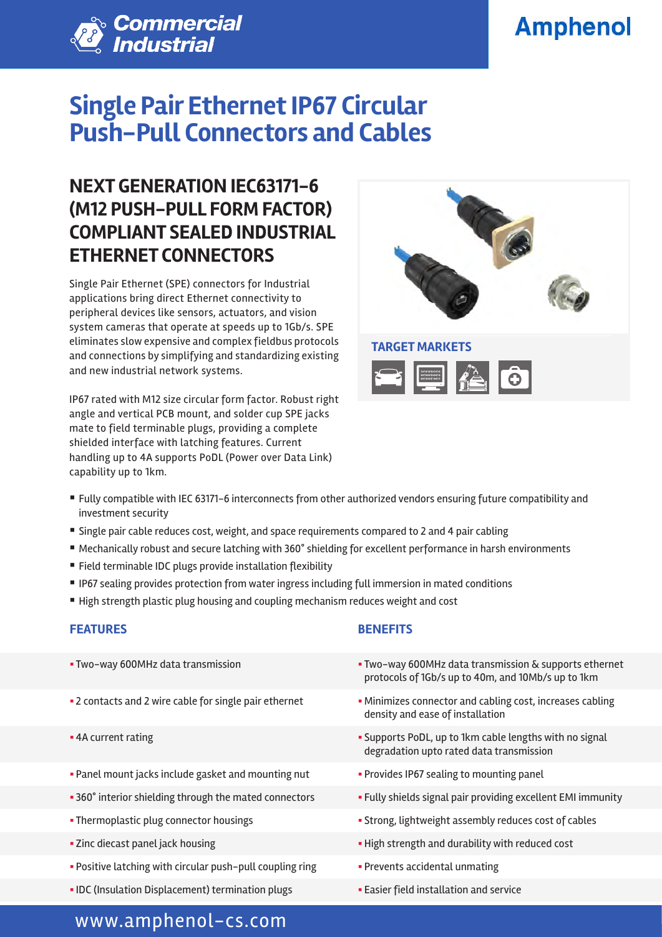# **Amphenol**



# **Single Pair Ethernet IP67 Circular Push-Pull Connectors and Cables**

### **NEXT GENERATION IEC63171-6 (M12 PUSH-PULL FORM FACTOR) COMPLIANT SEALED INDUSTRIAL ETHERNET CONNECTORS**

Single Pair Ethernet (SPE) connectors for Industrial applications bring direct Ethernet connectivity to peripheral devices like sensors, actuators, and vision system cameras that operate at speeds up to 1Gb/s. SPE eliminates slow expensive and complex fieldbus protocols and connections by simplifying and standardizing existing and new industrial network systems.

IP67 rated with M12 size circular form factor. Robust right angle and vertical PCB mount, and solder cup SPE jacks mate to field terminable plugs, providing a complete shielded interface with latching features. Current handling up to 4A supports PoDL (Power over Data Link) capability up to 1km.



- § Fully compatible with IEC 63171-6 interconnects from other authorized vendors ensuring future compatibility and investment security
- Single pair cable reduces cost, weight, and space requirements compared to 2 and 4 pair cabling
- Mechanically robust and secure latching with 360° shielding for excellent performance in harsh environments
- Field terminable IDC plugs provide installation flexibility
- § IP67 sealing provides protection from water ingress including full immersion in mated conditions
- High strength plastic plug housing and coupling mechanism reduces weight and cost

### **FEATURES BENEFITS**

- 
- 
- 
- Panel mount jacks include gasket and mounting nut **••** Provides IP67 sealing to mounting panel
- 
- 
- 
- Positive latching with circular push-pull coupling ring **•** Prevents accidental unmating
- IDC (Insulation Displacement) termination plugs **•• Easier field installation and service**

- § Two-way 600MHz data transmission § Two-way 600MHz data transmission & supports ethernet protocols of 1Gb/s up to 40m, and 10Mb/s up to 1km
- 2 contacts and 2 wire cable for single pair ethernet  **Minimizes connector and cabling cost**, increases cabling density and ease of installation
- § 4A current rating § Supports PoDL, up to 1km cable lengths with no signal degradation upto rated data transmission
	-
- 360° interior shielding through the mated connectors Fully shields signal pair providing excellent EMI immunity
- Thermoplastic plug connector housings **Example 20 Strong, lightweight assembly reduces cost of cables**
- Zinc diecast panel jack housing **by the strength and durability with reduced cost** 
	-
	-

### www.amphenol-cs.com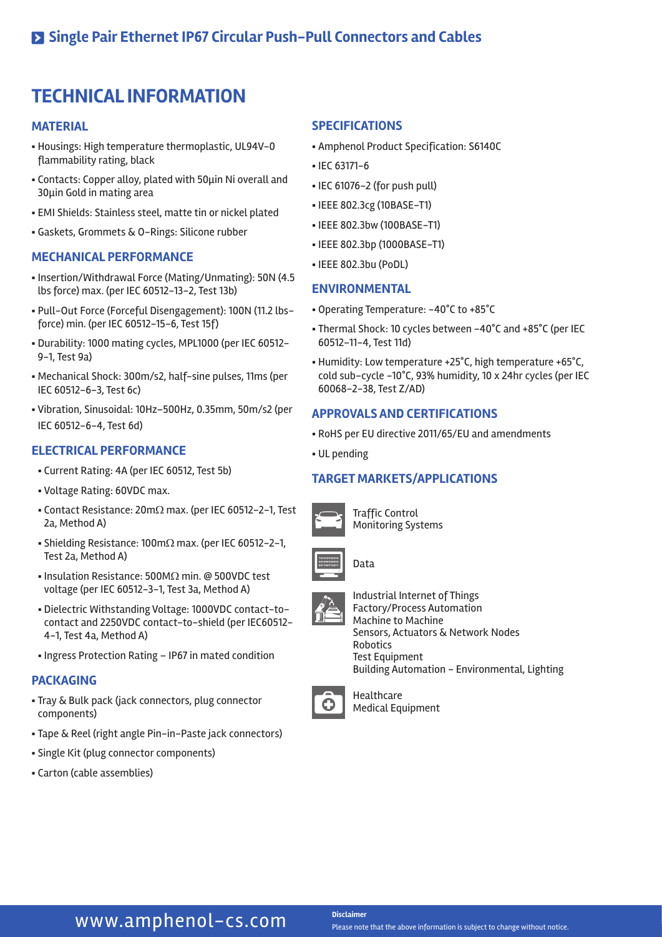## **TECHNICAL INFORMATION**

#### **MATERIAL**

- § Housings: High temperature thermoplastic, UL94V-0 flammability rating, black
- Contacts: Copper alloy, plated with 50μin Ni overall and 30μin Gold in mating area
- § EMI Shields: Stainless steel, matte tin or nickel plated
- § Gaskets, Grommets & O-Rings: Silicone rubber

#### **MECHANICAL PERFORMANCE**

- § Insertion/Withdrawal Force (Mating/Unmating): 50N (4.5 lbs force) max. (per IEC 60512-13-2, Test 13b)
- § Pull-Out Force (Forceful Disengagement): 100N (11.2 lbsforce) min. (per IEC 60512-15-6, Test 15f)
- § Durability: 1000 mating cycles, MPL1000 (per IEC 60512- 9-1, Test 9a)
- § Mechanical Shock: 300m/s2, half-sine pulses, 11ms (per IEC 60512-6-3, Test 6c)
- § Vibration, Sinusoidal: 10Hz–500Hz, 0.35mm, 50m/s2 (per IEC 60512-6-4, Test 6d)

#### **ELECTRICAL PERFORMANCE**

- § Current Rating: 4A (per IEC 60512, Test 5b)
- § Voltage Rating: 60VDC max.
- § Contact Resistance: 20mΩ max. (per IEC 60512-2-1, Test 2a, Method A)
- § Shielding Resistance: 100mΩ max. (per IEC 60512-2-1, Test 2a, Method A)
- Insulation Resistance: 500MΩ min. @ 500VDC test voltage (per IEC 60512-3-1, Test 3a, Method A)
- § Dielectric Withstanding Voltage: 1000VDC contact-tocontact and 2250VDC contact-to-shield (per IEC60512- 4-1, Test 4a, Method A)
- Ingress Protection Rating IP67 in mated condition

#### **PACKAGING**

- § Tray & Bulk pack (jack connectors, plug connector components)
- § Tape & Reel (right angle Pin-in-Paste jack connectors)
- § Single Kit (plug connector components)
- § Carton (cable assemblies)

#### **SPECIFICATIONS**

- § Amphenol Product Specification: S6140C
- § IEC 63171-6
- § IEC 61076-2 (for push pull)
- § IEEE 802.3cg (10BASE-T1)
- § IEEE 802.3bw (100BASE-T1)
- § IEEE 802.3bp (1000BASE-T1)
- § IEEE 802.3bu (PoDL)

#### **ENVIRONMENTAL**

- § Operating Temperature: -40°C to +85°C
- § Thermal Shock: 10 cycles between -40°C and +85°C (per IEC 60512-11-4, Test 11d)
- § Humidity: Low temperature +25°C, high temperature +65°C, cold sub-cycle -10°C, 93% humidity, 10 x 24hr cycles (per IEC 60068-2-38, Test Z/AD)

#### **APPROVALS AND CERTIFICATIONS**

- § RoHS per EU directive 2011/65/EU and amendments
- § UL pending

#### **TARGET MARKETS/APPLICATIONS**



Traffic Control Monitoring Systems



Industrial Internet of Things Factory/Process Automation Machine to Machine Sensors, Actuators & Network Nodes **Robotics** Test Equipment Building Automation - Environmental, Lighting



Healthcare Medical Equipment

### **WWW.amphenol-cs.com** Disclaimer